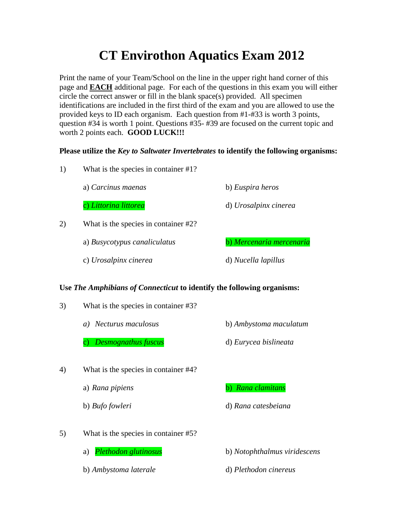# **CT Envirothon Aquatics Exam 2012**

Print the name of your Team/School on the line in the upper right hand corner of this page and **EACH** additional page. For each of the questions in this exam you will either circle the correct answer or fill in the blank space(s) provided. All specimen identifications are included in the first third of the exam and you are allowed to use the provided keys to ID each organism. Each question from #1-#33 is worth 3 points, question #34 is worth 1 point. Questions #35- #39 are focused on the current topic and worth 2 points each. **GOOD LUCK!!!**

### **Please utilize the** *Key to Saltwater Invertebrates* **to identify the following organisms:**

1) What is the species in container #1?

a) *Carcinus maenas* b) *Euspira heros*

c) *Littorina littorea* d) *Urosalpinx cinerea*

- 2) What is the species in container #2?
	- a) *Busycotypus canaliculatus* b) *Mercenaria mercenaria*

c) *Urosalpinx cinerea* d) *Nucella lapillus*

### **Use** *The Amphibians of Connecticut* **to identify the following organisms:**

- 3) What is the species in container #3?
	- *a) Necturus maculosus* b) *Ambystoma maculatum*
	- c) *Desmognathus fuscus* d) *Eurycea bislineata*
- 4) What is the species in container #4?
	-

a) *Rana pipiens* b) *Rana clamitans*

b) *Bufo fowleri* d) *Rana catesbeiana*

5) What is the species in container #5?

b) *Ambystoma laterale* d) *Plethodon cinereus*

a) *Plethodon glutinosus* b) *Notophthalmus viridescens*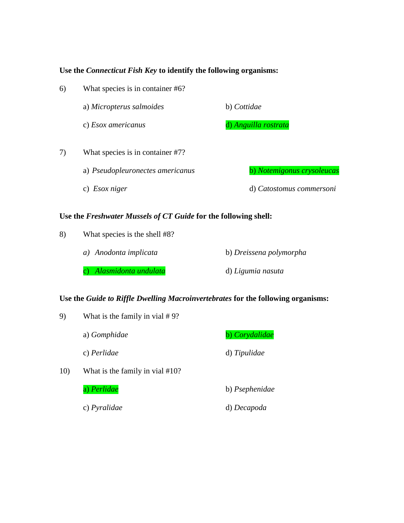### **Use the** *Connecticut Fish Key* **to identify the following organisms:**

| 6) | What species is in container #6?                                                                                                                                     |                            |  |
|----|----------------------------------------------------------------------------------------------------------------------------------------------------------------------|----------------------------|--|
|    | a) Micropterus salmoides                                                                                                                                             | b) Cottidae                |  |
|    | c) <i>Esox americanus</i>                                                                                                                                            | d) Anguilla rostrata       |  |
| 7) | What species is in container #7?                                                                                                                                     |                            |  |
|    | a) Pseudopleuronectes americanus                                                                                                                                     | b) Notemigonus crysoleucas |  |
|    | c) Esox niger                                                                                                                                                        | d) Catostomus commersoni   |  |
|    | $\blacksquare$<br>$\mathbf{r}$ $\mathbf{r}$ $\mathbf{r}$ $\mathbf{r}$<br>$\mathcal{L} \cap \mathcal{L} \cap \mathcal{L}$ . The set of $\mathcal{L} \cap \mathcal{L}$ |                            |  |

## **Use the** *Freshwater Mussels of CT Guide* **for the following shell:**

| 8) | What species is the shell #8? |                         |  |
|----|-------------------------------|-------------------------|--|
|    | a) Anodonta implicata         | b) Dreissena polymorpha |  |
|    | c) Alasmidonta undulata       | d) Ligumia nasuta       |  |

### **Use the** *Guide to Riffle Dwelling Macroinvertebrates* **for the following organisms:**

| 9)  | What is the family in vial $#9$ ? |                |  |
|-----|-----------------------------------|----------------|--|
|     | a) Gomphidae                      | b) Corydalidae |  |
|     | c) Perlidae                       | d) Tipulidae   |  |
| 10) | What is the family in vial #10?   |                |  |
|     | a) Perlidae                       | b) Psephenidae |  |
|     | c) Pyralidae                      | d) Decapoda    |  |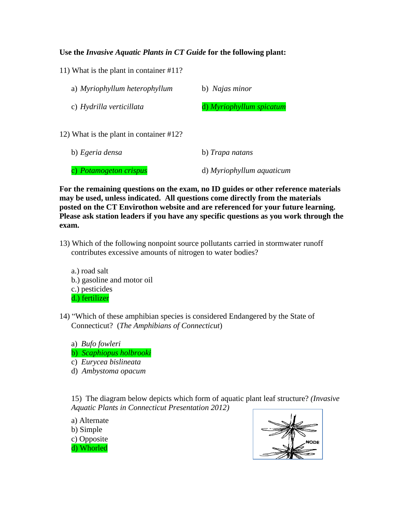### **Use the** *Invasive Aquatic Plants in CT Guide* **for the following plant:**

11) What is the plant in container #11?

| a) Myriophyllum heterophyllum           | b) Najas minor           |
|-----------------------------------------|--------------------------|
| c) Hydrilla verticillata                | d) Myriophyllum spicatum |
| 12) What is the plant in container #12? |                          |
| b) Egeria densa                         | b) Trapa natans          |

c) *Potamogeton crispus* d) *Myriophyllum aquaticum*

**For the remaining questions on the exam, no ID guides or other reference materials may be used, unless indicated. All questions come directly from the materials posted on the CT Envirothon website and are referenced for your future learning. Please ask station leaders if you have any specific questions as you work through the exam.**

- 13) Which of the following nonpoint source pollutants carried in stormwater runoff contributes excessive amounts of nitrogen to water bodies?
	- a.) road salt b.) gasoline and motor oil c.) pesticides d.) fertilizer
- 14) "Which of these amphibian species is considered Endangered by the State of Connecticut? (*The Amphibians of Connecticut*)

a) *Bufo fowleri* b) *Scaphiopus holbrooki* c) *Eurycea bislineata* d) *Ambystoma opacum*

15) The diagram below depicts which form of aquatic plant leaf structure? *(Invasive Aquatic Plants in Connecticut Presentation 2012)*

a) Alternate b) Simple c) Opposite d) Whorled

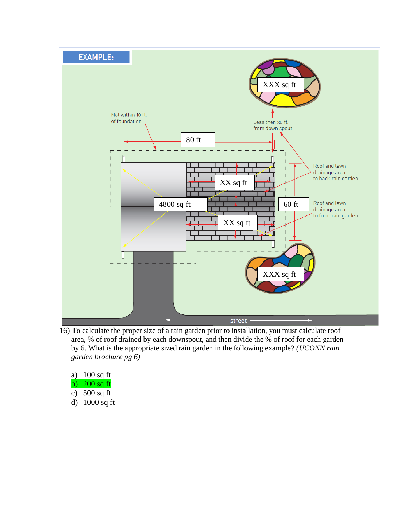

16) To calculate the proper size of a rain garden prior to installation, you must calculate roof area, % of roof drained by each downspout, and then divide the % of roof for each garden by 6. What is the appropriate sized rain garden in the following example? *(UCONN rain garden brochure pg 6)* 

| a)            | $100$ sq ft  |
|---------------|--------------|
| b)            | $200$ sq ft  |
| $\mathbf{c})$ | $500$ sq ft  |
| d)            | $1000$ sq ft |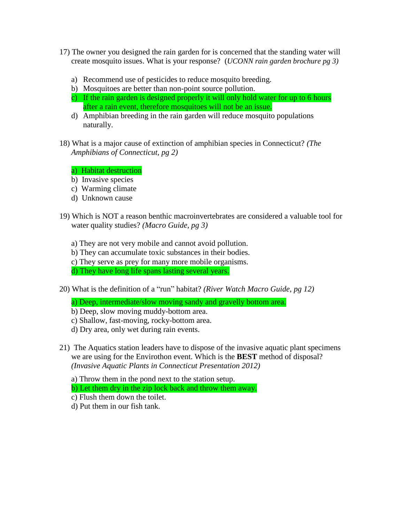- 17) The owner you designed the rain garden for is concerned that the standing water will create mosquito issues. What is your response? (*UCONN rain garden brochure pg 3)*
	- a) Recommend use of pesticides to reduce mosquito breeding.
	- b) Mosquitoes are better than non-point source pollution.
	- c) If the rain garden is designed properly it will only hold water for up to 6 hours after a rain event, therefore mosquitoes will not be an issue.
	- d) Amphibian breeding in the rain garden will reduce mosquito populations naturally.
- 18) What is a major cause of extinction of amphibian species in Connecticut? *(The Amphibians of Connecticut, pg 2)*
	- a) Habitat destruction
	- b) Invasive species
	- c) Warming climate
	- d) Unknown cause
- 19) Which is NOT a reason benthic macroinvertebrates are considered a valuable tool for water quality studies? *(Macro Guide, pg 3)*
	- a) They are not very mobile and cannot avoid pollution.
	- b) They can accumulate toxic substances in their bodies.
	- c) They serve as prey for many more mobile organisms.
	- d) They have long life spans lasting several years.
- 20) What is the definition of a "run" habitat? *(River Watch Macro Guide, pg 12)*
	- a) Deep, intermediate/slow moving sandy and gravelly bottom area.
	- b) Deep, slow moving muddy-bottom area.
	- c) Shallow, fast-moving, rocky-bottom area.
	- d) Dry area, only wet during rain events.
- 21) The Aquatics station leaders have to dispose of the invasive aquatic plant specimens we are using for the Envirothon event. Which is the **BEST** method of disposal? *(Invasive Aquatic Plants in Connecticut Presentation 2012)*
	- a) Throw them in the pond next to the station setup.
	- b) Let them dry in the zip lock back and throw them away.
	- c) Flush them down the toilet.
	- d) Put them in our fish tank.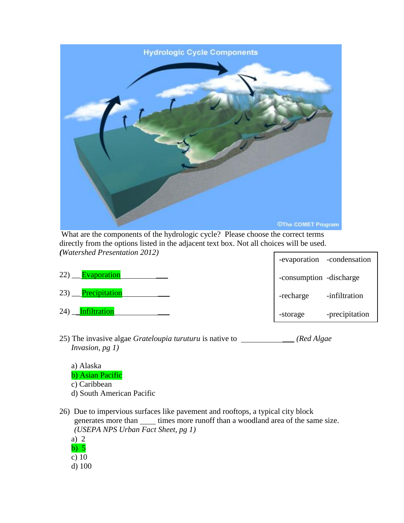

-evaporation -condensation What are the components of the hydrologic cycle? Please choose the correct terms directly from the options listed in the adjacent text box. Not all choices will be used. *(Watershed Presentation 2012)*

|                      |           | $-cv$ application $-cv$ and $c$ is a contract on $c$ |
|----------------------|-----------|------------------------------------------------------|
| 22)<br>Evaporation   |           | -consumption -discharge                              |
| 23)<br>Precipitation | -recharge | -infiltration                                        |
| 24)<br>Infiltration  | -storage  | -precipitation                                       |

- 25) The invasive algae *Grateloupia turuturu* is native to \_\_\_ *(Red Algae Invasion, pg 1)*
	- a) Alaska
	- b) Asian Pacific
	- c) Caribbean
	- d) South American Pacific
- 26) Due to impervious surfaces like pavement and rooftops, a typical city block generates more than <u>times more runoff</u> than a woodland area of the same size. *(USEPA NPS Urban Fact Sheet, pg 1)*
	- a) 2 b) 5 c)  $10$ d) 100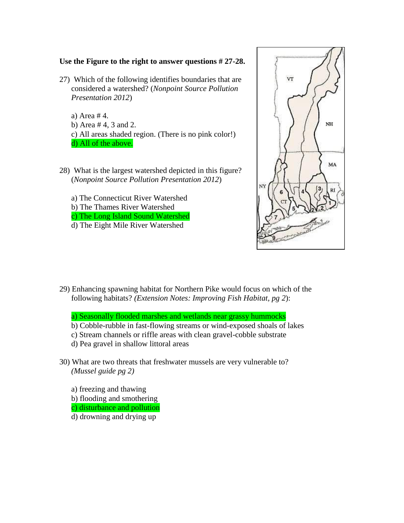### **Use the Figure to the right to answer questions # 27-28.**

27) Which of the following identifies boundaries that are considered a watershed? (*Nonpoint Source Pollution Presentation 2012*)

a) Area # 4. b) Area # 4, 3 and 2. c) All areas shaded region. (There is no pink color!) d) All of the above.

- 28) What is the largest watershed depicted in this figure? (*Nonpoint Source Pollution Presentation 2012*)
	- a) The Connecticut River Watershed
	- b) The Thames River Watershed
	- c) The Long Island Sound Watershed
	- d) The Eight Mile River Watershed



29) Enhancing spawning habitat for Northern Pike would focus on which of the following habitats? *(Extension Notes: Improving Fish Habitat, pg 2*):

a) Seasonally flooded marshes and wetlands near grassy hummocks

- b) Cobble-rubble in fast-flowing streams or wind-exposed shoals of lakes
- c) Stream channels or riffle areas with clean gravel-cobble substrate
- d) Pea gravel in shallow littoral areas
- 30) What are two threats that freshwater mussels are very vulnerable to? *(Mussel guide pg 2)*
	- a) freezing and thawing b) flooding and smothering c) disturbance and pollution
	- d) drowning and drying up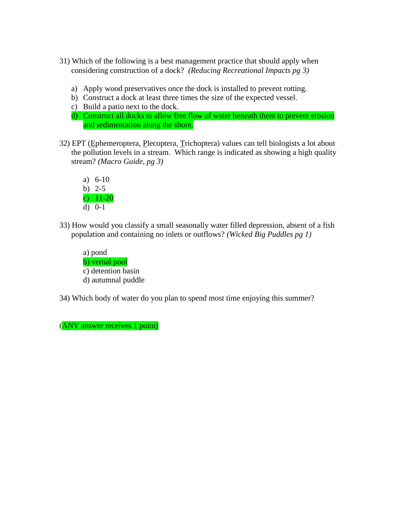- 31) Which of the following is a best management practice that should apply when considering construction of a dock? *(Reducing Recreational Impacts pg 3)*
	- a) Apply wood preservatives once the dock is installed to prevent rotting.
	- b) Construct a dock at least three times the size of the expected vessel.
	- c) Build a patio next to the dock.
	- d) Construct all docks to allow free flow of water beneath them to prevent erosion and sedimentation along the shore.
- 32) EPT (Ephemeroptera, Plecoptera, Trichoptera) values can tell biologists a lot about the pollution levels in a stream. Which range is indicated as showing a high quality stream? *(Macro Guide, pg 3)*



33) How would you classify a small seasonally water filled depression, absent of a fish population and containing no inlets or outflows? *(Wicked Big Puddles pg 1)*

a) pond b) vernal pool c) detention basin d) autumnal puddle

34) Which body of water do you plan to spend most time enjoying this summer?

(ANY answer receives 1 point)